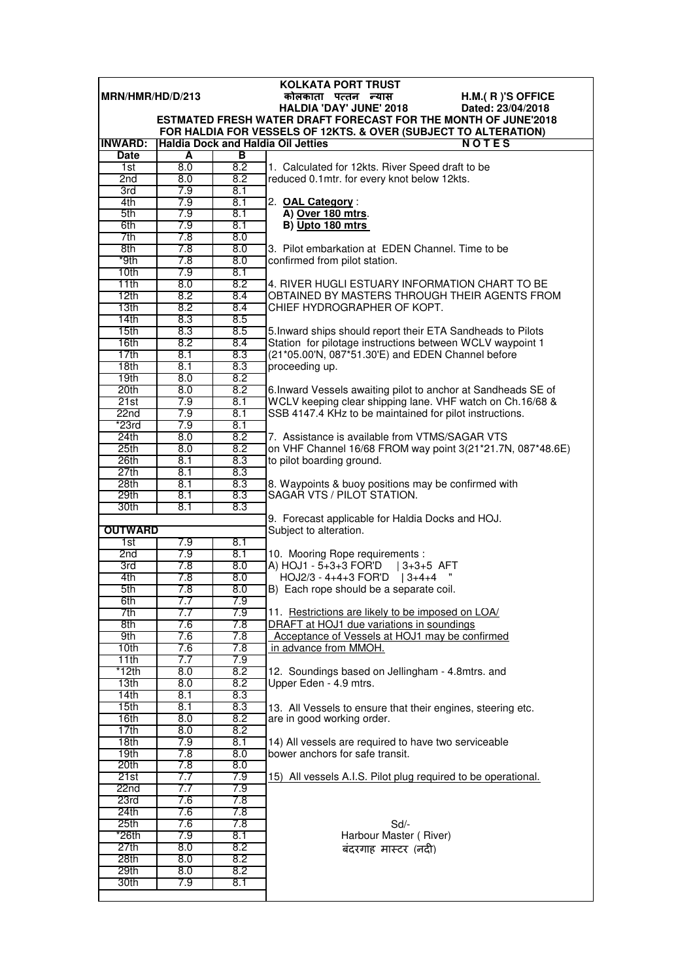|                              | <b>KOLKATA PORT TRUST</b><br>MRN/HMR/HD/D/213 |            |                                                                                                                      |  |  |  |
|------------------------------|-----------------------------------------------|------------|----------------------------------------------------------------------------------------------------------------------|--|--|--|
|                              |                                               |            | कोलकाता पत्तन न्यास<br>H.M.(R)'S OFFICE<br><b>HALDIA 'DAY' JUNE' 2018</b><br>Dated: 23/04/2018                       |  |  |  |
|                              |                                               |            | <b>ESTMATED FRESH WATER DRAFT FORECAST FOR THE MONTH OF JUNE'2018</b>                                                |  |  |  |
|                              |                                               |            | FOR HALDIA FOR VESSELS OF 12KTS. & OVER (SUBJECT TO ALTERATION)                                                      |  |  |  |
| <b>INWARD:</b>               |                                               |            | <b>Haldia Dock and Haldia Oil Jetties</b><br><b>NOTES</b>                                                            |  |  |  |
| Date                         | A                                             | В          |                                                                                                                      |  |  |  |
| 1st                          | 8.0                                           | 8.2        | 1. Calculated for 12kts. River Speed draft to be                                                                     |  |  |  |
| 2nd                          | 8.0<br>7.9                                    | 8.2<br>8.1 | reduced 0.1mtr. for every knot below 12kts.                                                                          |  |  |  |
| 3rd<br>4th                   | 7.9                                           | 8.1        | 2. OAL Category:                                                                                                     |  |  |  |
| 5th                          | 7.9                                           | 8.1        | A) Over 180 mtrs.                                                                                                    |  |  |  |
| 6th                          | 7.9                                           | 8.1        | B) Upto 180 mtrs                                                                                                     |  |  |  |
| 7th                          | 7.8                                           | 8.0        |                                                                                                                      |  |  |  |
| 8th                          | 7.8                                           | 8.0        | 3. Pilot embarkation at EDEN Channel. Time to be                                                                     |  |  |  |
| *9th                         | 7.8                                           | 8.0        | confirmed from pilot station.                                                                                        |  |  |  |
| 10th                         | 7.9                                           | 8.1        |                                                                                                                      |  |  |  |
| 11th                         | 8.0                                           | 8.2        | 4. RIVER HUGLI ESTUARY INFORMATION CHART TO BE                                                                       |  |  |  |
| 12th<br>13th                 | 8.2<br>8.2                                    | 8.4<br>8.4 | OBTAINED BY MASTERS THROUGH THEIR AGENTS FROM<br>CHIEF HYDROGRAPHER OF KOPT.                                         |  |  |  |
| 14 <sub>th</sub>             | 8.3                                           | 8.5        |                                                                                                                      |  |  |  |
| 15th                         | 8.3                                           | 8.5        | 5. Inward ships should report their ETA Sandheads to Pilots                                                          |  |  |  |
| 16th                         | 8.2                                           | 8.4        | Station for pilotage instructions between WCLV waypoint 1                                                            |  |  |  |
| 17th                         | 8.1                                           | 8.3        | (21*05.00'N, 087*51.30'E) and EDEN Channel before                                                                    |  |  |  |
| 18th                         | 8.1                                           | 8.3        | proceeding up.                                                                                                       |  |  |  |
| 19 <sub>th</sub>             | 8.0                                           | 8.2        |                                                                                                                      |  |  |  |
| 20 <sub>th</sub>             | 8.0                                           | 8.2        | 6. Inward Vessels awaiting pilot to anchor at Sandheads SE of                                                        |  |  |  |
| 21st                         | 7.9                                           | 8.1        | WCLV keeping clear shipping lane. VHF watch on Ch.16/68 &<br>SSB 4147.4 KHz to be maintained for pilot instructions. |  |  |  |
| 22 <sub>nd</sub><br>$*23$ rd | 7.9<br>7.9                                    | 8.1<br>8.1 |                                                                                                                      |  |  |  |
| 24th                         | 8.0                                           | 8.2        | 7. Assistance is available from VTMS/SAGAR VTS                                                                       |  |  |  |
| 25th                         | 8.0                                           | 8.2        | on VHF Channel 16/68 FROM way point 3(21*21.7N, 087*48.6E)                                                           |  |  |  |
| 26th                         | 8.1                                           | 8.3        | to pilot boarding ground.                                                                                            |  |  |  |
| 27th                         | 8.1                                           | 8.3        |                                                                                                                      |  |  |  |
| 28 <sub>th</sub>             | 8.1                                           | 8.3        | 8. Waypoints & buoy positions may be confirmed with                                                                  |  |  |  |
| 29th                         | 8.1                                           | 8.3        | SAGAR VTS / PILOT STATION.                                                                                           |  |  |  |
| 30th                         | 8.1                                           | 8.3        |                                                                                                                      |  |  |  |
| <b>OUTWARD</b>               |                                               |            | 9. Forecast applicable for Haldia Docks and HOJ.<br>Subject to alteration.                                           |  |  |  |
| 1st                          | 7.9                                           | 8.1        |                                                                                                                      |  |  |  |
| 2nd                          | 7.9                                           | 8.1        | 10. Mooring Rope requirements :                                                                                      |  |  |  |
| 3rd                          | 7.8                                           | 8.0        | A) HOJ1 - 5+3+3 FOR'D   3+3+5 AFT                                                                                    |  |  |  |
| 4th                          | 7.8                                           | 8.0        | HOJ2/3 - 4+4+3 FOR'D   3+4+4                                                                                         |  |  |  |
| 5th                          | 7.8                                           | 8.0        | B) Each rope should be a separate coil.                                                                              |  |  |  |
| 6th<br>7th                   | 7.7<br>7.7                                    | 7.9<br>7.9 | 11. Restrictions are likely to be imposed on LOA/                                                                    |  |  |  |
| 8th                          | 7.6                                           | 7.8        | DRAFT at HOJ1 due variations in soundings                                                                            |  |  |  |
| 9th                          | 7.6                                           | 7.8        | Acceptance of Vessels at HOJ1 may be confirmed                                                                       |  |  |  |
| 10th                         | 7.6                                           | 7.8        | in advance from MMOH.                                                                                                |  |  |  |
| 11th                         | 7.7                                           | 7.9        |                                                                                                                      |  |  |  |
| *12th                        | 8.0                                           | 8.2        | 12. Soundings based on Jellingham - 4.8mtrs. and                                                                     |  |  |  |
| 13 <sub>th</sub>             | 8.0                                           | 8.2        | Upper Eden - 4.9 mtrs.                                                                                               |  |  |  |
| 14th<br>15th                 | 8.1<br>8.1                                    | 8.3<br>8.3 |                                                                                                                      |  |  |  |
| 16th                         | 8.0                                           | 8.2        | 13. All Vessels to ensure that their engines, steering etc.<br>are in good working order.                            |  |  |  |
| 17th                         | 8.0                                           | 8.2        |                                                                                                                      |  |  |  |
| 18th                         | 7.9                                           | 8.1        | 14) All vessels are required to have two serviceable                                                                 |  |  |  |
| 19th                         | 7.8                                           | 8.0        | bower anchors for safe transit.                                                                                      |  |  |  |
| 20th                         | 7.8                                           | 8.0        |                                                                                                                      |  |  |  |
| 21st                         | 7.7                                           | 7.9        | 15) All vessels A.I.S. Pilot plug required to be operational.                                                        |  |  |  |
| 22 <sub>nd</sub>             | 7.7                                           | 7.9        |                                                                                                                      |  |  |  |
| 23rd<br>24th                 | 7.6<br>7.6                                    | 7.8<br>7.8 |                                                                                                                      |  |  |  |
| 25th                         | 7.6                                           | 7.8        | Sd/-                                                                                                                 |  |  |  |
| *26th                        | 7.9                                           | 8.1        | Harbour Master (River)                                                                                               |  |  |  |
| 27th                         | 8.0                                           | 8.2        | बंदरगाह मास्टर (नदी)                                                                                                 |  |  |  |
| 28th                         | 8.0                                           | 8.2        |                                                                                                                      |  |  |  |
| 29th                         | 8.0                                           | 8.2        |                                                                                                                      |  |  |  |
| 30th                         | 7.9                                           | 8.1        |                                                                                                                      |  |  |  |
|                              |                                               |            |                                                                                                                      |  |  |  |